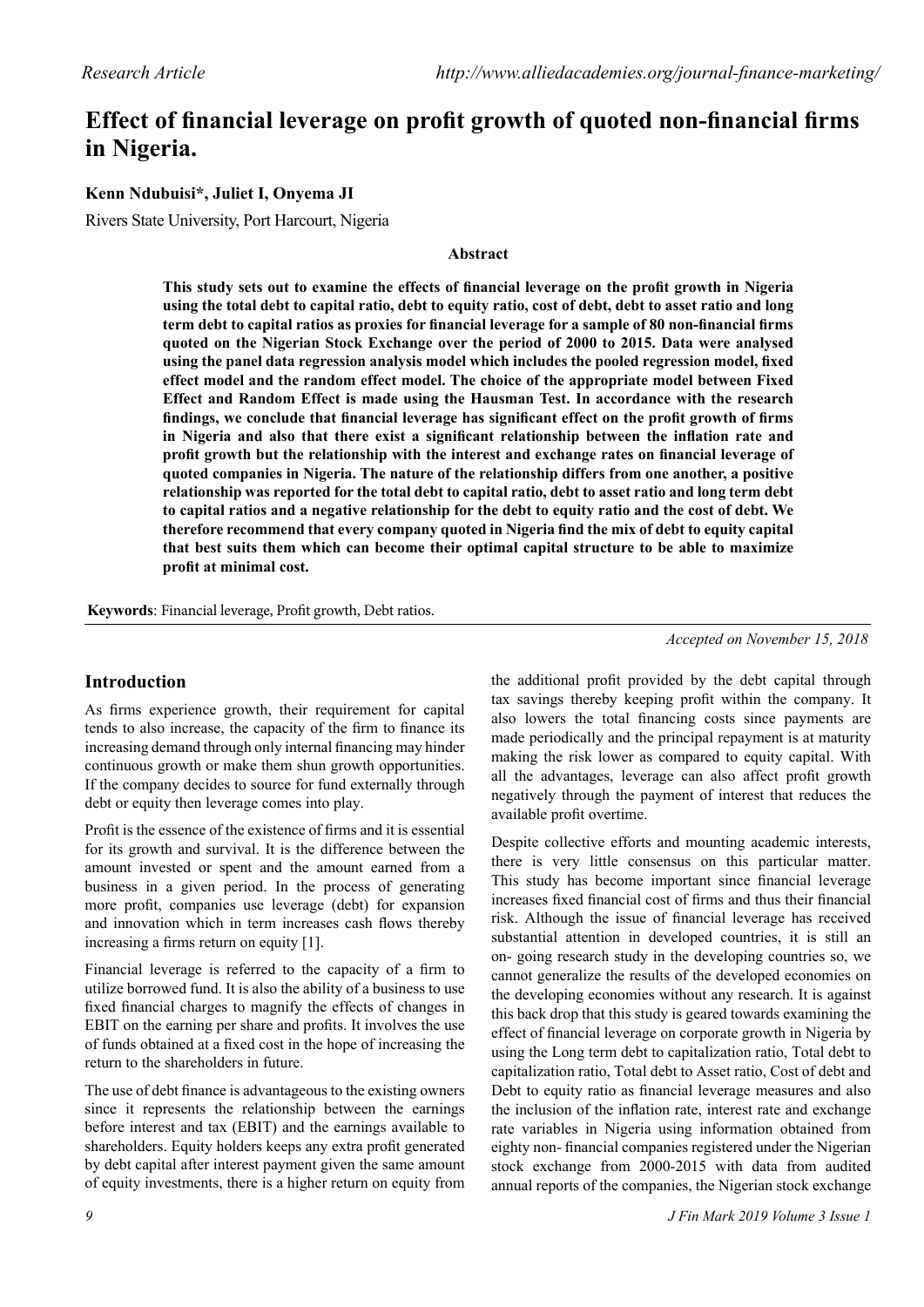# **Effect of financial leverage on profit growth of quoted non-financial firms in Nigeria.**

# **Kenn Ndubuisi\*, Juliet I, Onyema JI**

Rivers State University, Port Harcourt, Nigeria

## **Abstract**

**This study sets out to examine the effects of financial leverage on the profit growth in Nigeria using the total debt to capital ratio, debt to equity ratio, cost of debt, debt to asset ratio and long term debt to capital ratios as proxies for financial leverage for a sample of 80 non-financial firms quoted on the Nigerian Stock Exchange over the period of 2000 to 2015. Data were analysed using the panel data regression analysis model which includes the pooled regression model, fixed effect model and the random effect model. The choice of the appropriate model between Fixed Effect and Random Effect is made using the Hausman Test. In accordance with the research findings, we conclude that financial leverage has significant effect on the profit growth of firms in Nigeria and also that there exist a significant relationship between the inflation rate and profit growth but the relationship with the interest and exchange rates on financial leverage of quoted companies in Nigeria. The nature of the relationship differs from one another, a positive relationship was reported for the total debt to capital ratio, debt to asset ratio and long term debt to capital ratios and a negative relationship for the debt to equity ratio and the cost of debt. We therefore recommend that every company quoted in Nigeria find the mix of debt to equity capital that best suits them which can become their optimal capital structure to be able to maximize profit at minimal cost.**

**Keywords**: Financial leverage, Profit growth, Debt ratios.

*Accepted on November 15, 2018*

# **Introduction**

As firms experience growth, their requirement for capital tends to also increase, the capacity of the firm to finance its increasing demand through only internal financing may hinder continuous growth or make them shun growth opportunities. If the company decides to source for fund externally through debt or equity then leverage comes into play.

Profit is the essence of the existence of firms and it is essential for its growth and survival. It is the difference between the amount invested or spent and the amount earned from a business in a given period. In the process of generating more profit, companies use leverage (debt) for expansion and innovation which in term increases cash flows thereby increasing a firms return on equity [1].

Financial leverage is referred to the capacity of a firm to utilize borrowed fund. It is also the ability of a business to use fixed financial charges to magnify the effects of changes in EBIT on the earning per share and profits. It involves the use of funds obtained at a fixed cost in the hope of increasing the return to the shareholders in future.

The use of debt finance is advantageous to the existing owners since it represents the relationship between the earnings before interest and tax (EBIT) and the earnings available to shareholders. Equity holders keeps any extra profit generated by debt capital after interest payment given the same amount of equity investments, there is a higher return on equity from the additional profit provided by the debt capital through tax savings thereby keeping profit within the company. It also lowers the total financing costs since payments are made periodically and the principal repayment is at maturity making the risk lower as compared to equity capital. With all the advantages, leverage can also affect profit growth negatively through the payment of interest that reduces the available profit overtime.

Despite collective efforts and mounting academic interests, there is very little consensus on this particular matter. This study has become important since financial leverage increases fixed financial cost of firms and thus their financial risk. Although the issue of financial leverage has received substantial attention in developed countries, it is still an on- going research study in the developing countries so, we cannot generalize the results of the developed economies on the developing economies without any research. It is against this back drop that this study is geared towards examining the effect of financial leverage on corporate growth in Nigeria by using the Long term debt to capitalization ratio, Total debt to capitalization ratio, Total debt to Asset ratio, Cost of debt and Debt to equity ratio as financial leverage measures and also the inclusion of the inflation rate, interest rate and exchange rate variables in Nigeria using information obtained from eighty non- financial companies registered under the Nigerian stock exchange from 2000-2015 with data from audited annual reports of the companies, the Nigerian stock exchange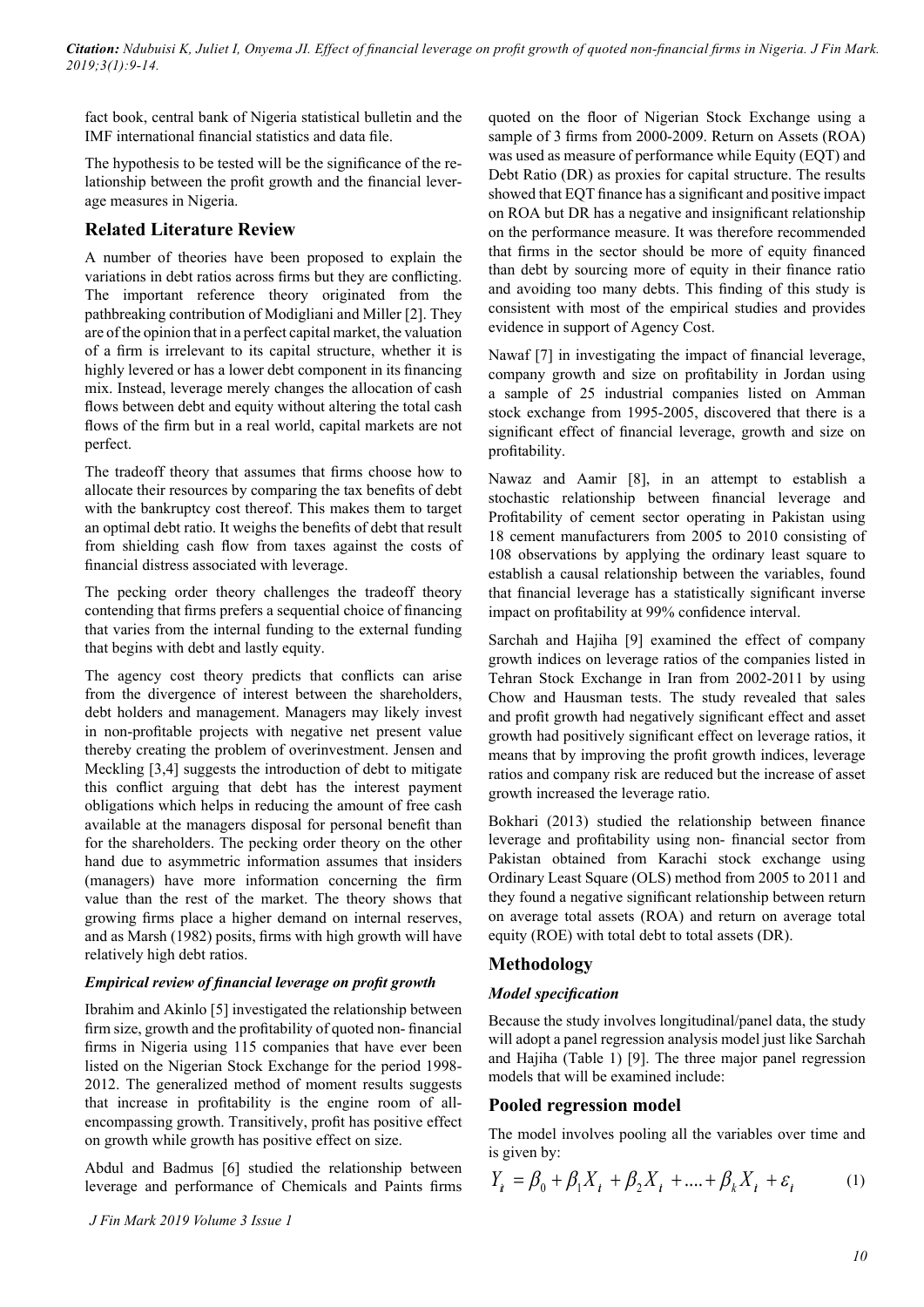fact book, central bank of Nigeria statistical bulletin and the IMF international financial statistics and data file.

The hypothesis to be tested will be the significance of the relationship between the profit growth and the financial leverage measures in Nigeria.

# **Related Literature Review**

A number of theories have been proposed to explain the variations in debt ratios across firms but they are conflicting. The important reference theory originated from the pathbreaking contribution of Modigliani and Miller [2]. They are of the opinion that in a perfect capital market, the valuation of a firm is irrelevant to its capital structure, whether it is highly levered or has a lower debt component in its financing mix. Instead, leverage merely changes the allocation of cash flows between debt and equity without altering the total cash flows of the firm but in a real world, capital markets are not perfect.

The tradeoff theory that assumes that firms choose how to allocate their resources by comparing the tax benefits of debt with the bankruptcy cost thereof. This makes them to target an optimal debt ratio. It weighs the benefits of debt that result from shielding cash flow from taxes against the costs of financial distress associated with leverage.

The pecking order theory challenges the tradeoff theory contending that firms prefers a sequential choice of financing that varies from the internal funding to the external funding that begins with debt and lastly equity.

The agency cost theory predicts that conflicts can arise from the divergence of interest between the shareholders, debt holders and management. Managers may likely invest in non-profitable projects with negative net present value thereby creating the problem of overinvestment. Jensen and Meckling [3,4] suggests the introduction of debt to mitigate this conflict arguing that debt has the interest payment obligations which helps in reducing the amount of free cash available at the managers disposal for personal benefit than for the shareholders. The pecking order theory on the other hand due to asymmetric information assumes that insiders (managers) have more information concerning the firm value than the rest of the market. The theory shows that growing firms place a higher demand on internal reserves, and as Marsh (1982) posits, firms with high growth will have relatively high debt ratios.

# *Empirical review of financial leverage on profit growth*

Ibrahim and Akinlo [5] investigated the relationship between firm size, growth and the profitability of quoted non- financial firms in Nigeria using 115 companies that have ever been listed on the Nigerian Stock Exchange for the period 1998- 2012. The generalized method of moment results suggests that increase in profitability is the engine room of allencompassing growth. Transitively, profit has positive effect on growth while growth has positive effect on size.

Abdul and Badmus [6] studied the relationship between leverage and performance of Chemicals and Paints firms quoted on the floor of Nigerian Stock Exchange using a sample of 3 firms from 2000-2009. Return on Assets (ROA) was used as measure of performance while Equity (EQT) and Debt Ratio (DR) as proxies for capital structure. The results showed that EQT finance has a significant and positive impact on ROA but DR has a negative and insignificant relationship on the performance measure. It was therefore recommended that firms in the sector should be more of equity financed than debt by sourcing more of equity in their finance ratio and avoiding too many debts. This finding of this study is consistent with most of the empirical studies and provides evidence in support of Agency Cost.

Nawaf [7] in investigating the impact of financial leverage, company growth and size on profitability in Jordan using a sample of 25 industrial companies listed on Amman stock exchange from 1995-2005, discovered that there is a significant effect of financial leverage, growth and size on profitability.

Nawaz and Aamir [8], in an attempt to establish a stochastic relationship between financial leverage and Profitability of cement sector operating in Pakistan using 18 cement manufacturers from 2005 to 2010 consisting of 108 observations by applying the ordinary least square to establish a causal relationship between the variables, found that financial leverage has a statistically significant inverse impact on profitability at 99% confidence interval.

Sarchah and Hajiha [9] examined the effect of company growth indices on leverage ratios of the companies listed in Tehran Stock Exchange in Iran from 2002-2011 by using Chow and Hausman tests. The study revealed that sales and profit growth had negatively significant effect and asset growth had positively significant effect on leverage ratios, it means that by improving the profit growth indices, leverage ratios and company risk are reduced but the increase of asset growth increased the leverage ratio.

Bokhari (2013) studied the relationship between finance leverage and profitability using non- financial sector from Pakistan obtained from Karachi stock exchange using Ordinary Least Square (OLS) method from 2005 to 2011 and they found a negative significant relationship between return on average total assets (ROA) and return on average total equity (ROE) with total debt to total assets (DR).

# **Methodology**

# *Model specification*

Because the study involves longitudinal/panel data, the study will adopt a panel regression analysis model just like Sarchah and Hajiha (Table 1) [9]. The three major panel regression models that will be examined include:

# **Pooled regression model**

The model involves pooling all the variables over time and is given by:

$$
Y_{i} = \beta_{0} + \beta_{1}X_{i} + \beta_{2}X_{i} + \dots + \beta_{k}X_{i} + \varepsilon_{i}
$$
 (1)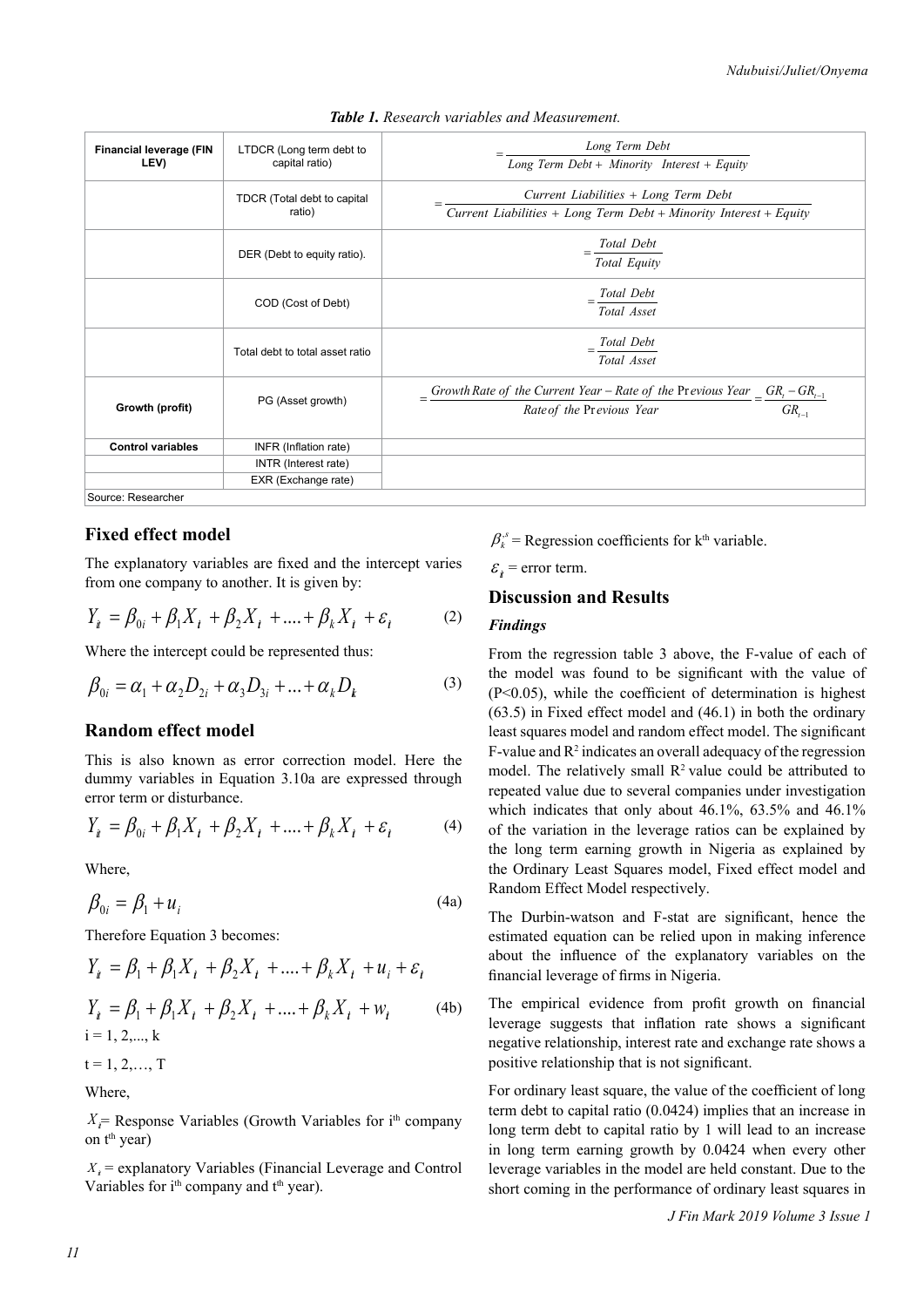| <b>Financial leverage (FIN</b><br>LEV) | LTDCR (Long term debt to<br>capital ratio) | Long Term Debt<br>Long Term Debt + Minority Interest + Equity                                                                      |  |  |  |
|----------------------------------------|--------------------------------------------|------------------------------------------------------------------------------------------------------------------------------------|--|--|--|
|                                        | TDCR (Total debt to capital<br>ratio)      | Current Liabilities + Long Term Debt<br>Current Liabilities + Long Term Debt + Minority Interest + Equity                          |  |  |  |
|                                        | DER (Debt to equity ratio).                | $=\frac{Total\;Debt}{Total\;Equity}$                                                                                               |  |  |  |
|                                        | COD (Cost of Debt)                         | Total Debt<br>Total Asset                                                                                                          |  |  |  |
|                                        | Total debt to total asset ratio            | Total Debt<br>Total Asset                                                                                                          |  |  |  |
| Growth (profit)                        | PG (Asset growth)                          | $\frac{Growth Rate of the Current Year - Rate of the Previous Year}{Rate of the Previous Year} = \frac{GR_t - GR_{t-1}}{GR_{t-1}}$ |  |  |  |
| <b>Control variables</b>               | INFR (Inflation rate)                      |                                                                                                                                    |  |  |  |
|                                        | INTR (Interest rate)                       |                                                                                                                                    |  |  |  |
|                                        | EXR (Exchange rate)                        |                                                                                                                                    |  |  |  |
| Source: Researcher                     |                                            |                                                                                                                                    |  |  |  |

#### *Table 1. Research variables and Measurement.*

# **Fixed effect model**

The explanatory variables are fixed and the intercept varies from one company to another. It is given by:

$$
Y_{i} = \beta_{0i} + \beta_{1}X_{i} + \beta_{2}X_{i} + \dots + \beta_{k}X_{i} + \varepsilon_{i}
$$
 (2)

Where the intercept could be represented thus:

$$
\beta_{0i} = \alpha_1 + \alpha_2 D_{2i} + \alpha_3 D_{3i} + ... + \alpha_k D_k
$$
 (3)

#### **Random effect model**

This is also known as error correction model. Here the dummy variables in Equation 3.10a are expressed through error term or disturbance.

$$
Y_{i} = \beta_{0i} + \beta_{1}X_{i} + \beta_{2}X_{i} + \dots + \beta_{k}X_{i} + \varepsilon_{i}
$$
 (4)

Where,

$$
\beta_{0i} = \beta_1 + u_i \tag{4a}
$$

Therefore Equation 3 becomes:

$$
Y_{i} = \beta_{1} + \beta_{1}X_{i} + \beta_{2}X_{i} + .... + \beta_{k}X_{i} + u_{i} + \varepsilon_{i}
$$
  
\n
$$
Y_{i} = \beta_{1} + \beta_{1}X_{i} + \beta_{2}X_{i} + .... + \beta_{k}X_{i} + w_{i}
$$
 (4b)  
\ni = 1, 2,..., k

$$
t=1,2,...,T
$$

Where,

 $X_i$ = Response Variables (Growth Variables for i<sup>th</sup> company on t<sup>th</sup> year)

 $X_i$  = explanatory Variables (Financial Leverage and Control Variables for i<sup>th</sup> company and t<sup>th</sup> year).

 $\beta_k^s$  = Regression coefficients for k<sup>th</sup> variable.

 $\varepsilon$ <sub>i</sub> = error term.

# **Discussion and Results**

### *Findings*

From the regression table 3 above, the F-value of each of the model was found to be significant with the value of (P<0.05), while the coefficient of determination is highest (63.5) in Fixed effect model and (46.1) in both the ordinary least squares model and random effect model. The significant  $F$ -value and  $R<sup>2</sup>$  indicates an overall adequacy of the regression model. The relatively small  $R<sup>2</sup>$  value could be attributed to repeated value due to several companies under investigation which indicates that only about 46.1%, 63.5% and 46.1% of the variation in the leverage ratios can be explained by the long term earning growth in Nigeria as explained by the Ordinary Least Squares model, Fixed effect model and Random Effect Model respectively.

The Durbin-watson and F-stat are significant, hence the estimated equation can be relied upon in making inference about the influence of the explanatory variables on the financial leverage of firms in Nigeria.

The empirical evidence from profit growth on financial leverage suggests that inflation rate shows a significant negative relationship, interest rate and exchange rate shows a positive relationship that is not significant.

For ordinary least square, the value of the coefficient of long term debt to capital ratio (0.0424) implies that an increase in long term debt to capital ratio by 1 will lead to an increase in long term earning growth by 0.0424 when every other leverage variables in the model are held constant. Due to the short coming in the performance of ordinary least squares in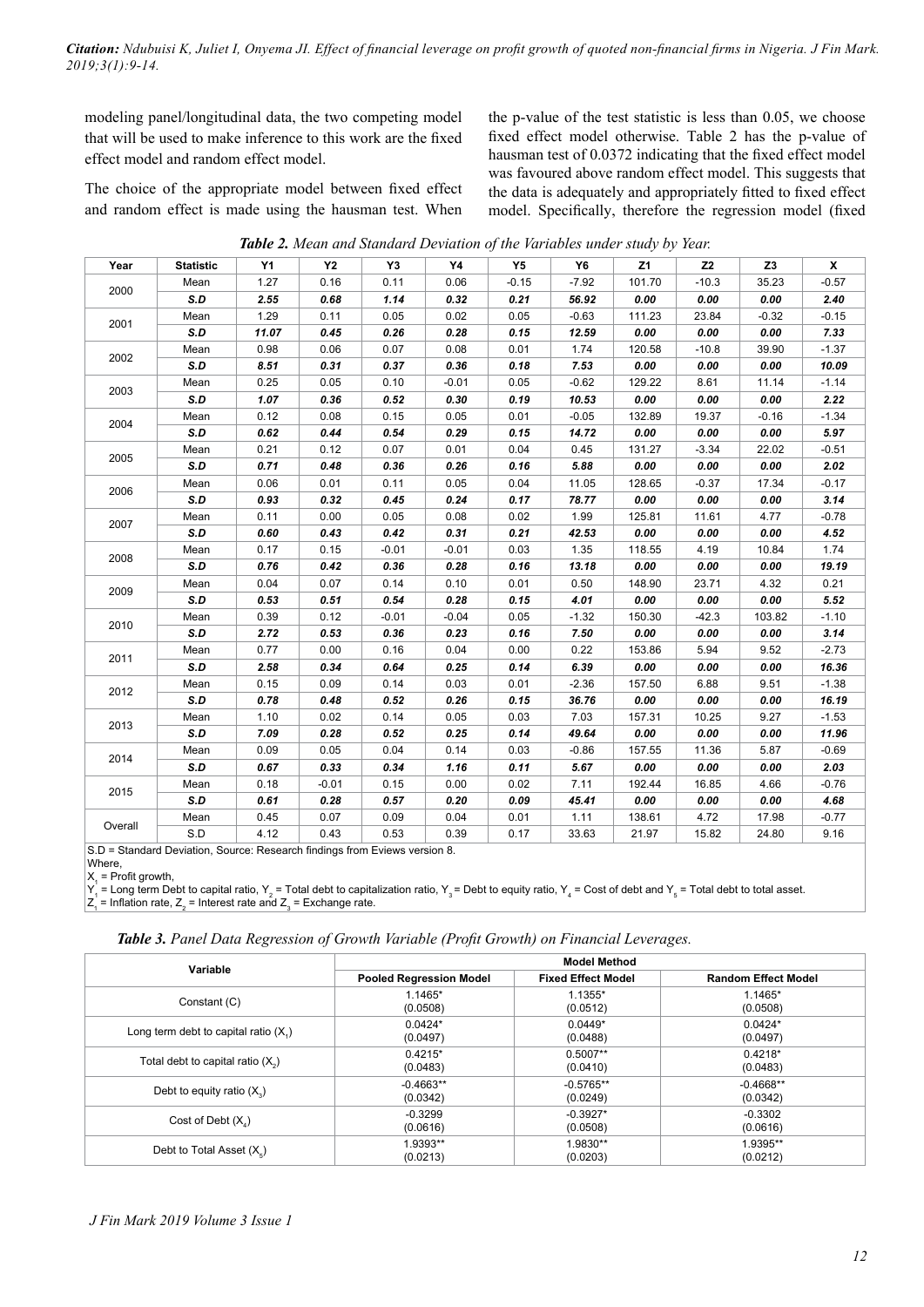*Citation: Ndubuisi K, Juliet I, Onyema JI. Effect of financial leverage on profit growth of quoted non-financial firms in Nigeria. J Fin Mark. 2019;3(1):9-14.*

modeling panel/longitudinal data, the two competing model that will be used to make inference to this work are the fixed effect model and random effect model.

The choice of the appropriate model between fixed effect and random effect is made using the hausman test. When

the p-value of the test statistic is less than 0.05, we choose fixed effect model otherwise. Table 2 has the p-value of hausman test of 0.0372 indicating that the fixed effect model was favoured above random effect model. This suggests that the data is adequately and appropriately fitted to fixed effect model. Specifically, therefore the regression model (fixed

| Table 2. Mean and Standard Deviation of the Variables under study by Year. |  |  |  |  |
|----------------------------------------------------------------------------|--|--|--|--|
|                                                                            |  |  |  |  |

| Year    | <b>Statistic</b> | Υ1    | <b>Y2</b> | Y3      | Υ4      | Y5      | Y6      | Z1     | Z <sub>2</sub> | Z <sub>3</sub> | X       |
|---------|------------------|-------|-----------|---------|---------|---------|---------|--------|----------------|----------------|---------|
| 2000    | Mean             | 1.27  | 0.16      | 0.11    | 0.06    | $-0.15$ | $-7.92$ | 101.70 | $-10.3$        | 35.23          | $-0.57$ |
|         | S.D              | 2.55  | 0.68      | 1.14    | 0.32    | 0.21    | 56.92   | 0.00   | 0.00           | 0.00           | 2.40    |
| 2001    | Mean             | 1.29  | 0.11      | 0.05    | 0.02    | 0.05    | $-0.63$ | 111.23 | 23.84          | $-0.32$        | $-0.15$ |
|         | S.D              | 11.07 | 0.45      | 0.26    | 0.28    | 0.15    | 12.59   | 0.00   | 0.00           | 0.00           | 7.33    |
| 2002    | Mean             | 0.98  | 0.06      | 0.07    | 0.08    | 0.01    | 1.74    | 120.58 | $-10.8$        | 39.90          | $-1.37$ |
|         | S.D              | 8.51  | 0.31      | 0.37    | 0.36    | 0.18    | 7.53    | 0.00   | 0.00           | 0.00           | 10.09   |
| 2003    | Mean             | 0.25  | 0.05      | 0.10    | $-0.01$ | 0.05    | $-0.62$ | 129.22 | 8.61           | 11.14          | $-1.14$ |
|         | S.D              | 1.07  | 0.36      | 0.52    | 0.30    | 0.19    | 10.53   | 0.00   | 0.00           | 0.00           | 2.22    |
| 2004    | Mean             | 0.12  | 0.08      | 0.15    | 0.05    | 0.01    | $-0.05$ | 132.89 | 19.37          | $-0.16$        | $-1.34$ |
|         | S.D              | 0.62  | 0.44      | 0.54    | 0.29    | 0.15    | 14.72   | 0.00   | 0.00           | 0.00           | 5.97    |
| 2005    | Mean             | 0.21  | 0.12      | 0.07    | 0.01    | 0.04    | 0.45    | 131.27 | $-3.34$        | 22.02          | $-0.51$ |
|         | S.D              | 0.71  | 0.48      | 0.36    | 0.26    | 0.16    | 5.88    | 0.00   | 0.00           | 0.00           | 2.02    |
| 2006    | Mean             | 0.06  | 0.01      | 0.11    | 0.05    | 0.04    | 11.05   | 128.65 | $-0.37$        | 17.34          | $-0.17$ |
|         | S.D              | 0.93  | 0.32      | 0.45    | 0.24    | 0.17    | 78.77   | 0.00   | 0.00           | 0.00           | 3.14    |
| 2007    | Mean             | 0.11  | 0.00      | 0.05    | 0.08    | 0.02    | 1.99    | 125.81 | 11.61          | 4.77           | $-0.78$ |
|         | S.D              | 0.60  | 0.43      | 0.42    | 0.31    | 0.21    | 42.53   | 0.00   | 0.00           | 0.00           | 4.52    |
| 2008    | Mean             | 0.17  | 0.15      | $-0.01$ | $-0.01$ | 0.03    | 1.35    | 118.55 | 4.19           | 10.84          | 1.74    |
|         | S.D              | 0.76  | 0.42      | 0.36    | 0.28    | 0.16    | 13.18   | 0.00   | 0.00           | 0.00           | 19.19   |
|         | Mean             | 0.04  | 0.07      | 0.14    | 0.10    | 0.01    | 0.50    | 148.90 | 23.71          | 4.32           | 0.21    |
| 2009    | S.D              | 0.53  | 0.51      | 0.54    | 0.28    | 0.15    | 4.01    | 0.00   | 0.00           | 0.00           | 5.52    |
|         | Mean             | 0.39  | 0.12      | $-0.01$ | $-0.04$ | 0.05    | $-1.32$ | 150.30 | $-42.3$        | 103.82         | $-1.10$ |
| 2010    | S.D              | 2.72  | 0.53      | 0.36    | 0.23    | 0.16    | 7.50    | 0.00   | 0.00           | 0.00           | 3.14    |
|         | Mean             | 0.77  | 0.00      | 0.16    | 0.04    | 0.00    | 0.22    | 153.86 | 5.94           | 9.52           | $-2.73$ |
| 2011    | S.D              | 2.58  | 0.34      | 0.64    | 0.25    | 0.14    | 6.39    | 0.00   | 0.00           | 0.00           | 16.36   |
|         | Mean             | 0.15  | 0.09      | 0.14    | 0.03    | 0.01    | $-2.36$ | 157.50 | 6.88           | 9.51           | $-1.38$ |
| 2012    | S.D              | 0.78  | 0.48      | 0.52    | 0.26    | 0.15    | 36.76   | 0.00   | 0.00           | 0.00           | 16.19   |
|         | Mean             | 1.10  | 0.02      | 0.14    | 0.05    | 0.03    | 7.03    | 157.31 | 10.25          | 9.27           | $-1.53$ |
| 2013    | S.D              | 7.09  | 0.28      | 0.52    | 0.25    | 0.14    | 49.64   | 0.00   | 0.00           | 0.00           | 11.96   |
|         | Mean             | 0.09  | 0.05      | 0.04    | 0.14    | 0.03    | $-0.86$ | 157.55 | 11.36          | 5.87           | $-0.69$ |
| 2014    | S.D              | 0.67  | 0.33      | 0.34    | 1.16    | 0.11    | 5.67    | 0.00   | 0.00           | 0.00           | 2.03    |
| 2015    | Mean             | 0.18  | $-0.01$   | 0.15    | 0.00    | 0.02    | 7.11    | 192.44 | 16.85          | 4.66           | $-0.76$ |
|         | S.D              | 0.61  | 0.28      | 0.57    | 0.20    | 0.09    | 45.41   | 0.00   | 0.00           | 0.00           | 4.68    |
|         | Mean             | 0.45  | 0.07      | 0.09    | 0.04    | 0.01    | 1.11    | 138.61 | 4.72           | 17.98          | $-0.77$ |
| Overall | S.D              | 4.12  | 0.43      | 0.53    | 0.39    | 0.17    | 33.63   | 21.97  | 15.82          | 24.80          | 9.16    |

S.D = Standard Deviation, Source: Research findings from Eviews version 8.

Where

 $X_1$  = Profit growth,

 $\mathsf{Y}_1$  = Long term Debt to capital ratio,  $\mathsf{Y}_2$  = Total debt to capitalization ratio,  $\mathsf{Y}_3$  = Debt to equity ratio,  $\mathsf{Y}_4$  = Cost of debt and  $\mathsf{Y}_5$  = Total debt to total asset.

 $Z_1$  = Inflation rate,  $Z_2$  = Interest rate and  $Z_3$  = Exchange rate.

*Table 3. Panel Data Regression of Growth Variable (Profit Growth) on Financial Leverages.*

| Variable                                | <b>Model Method</b>            |                           |                            |  |  |  |  |
|-----------------------------------------|--------------------------------|---------------------------|----------------------------|--|--|--|--|
|                                         | <b>Pooled Regression Model</b> | <b>Fixed Effect Model</b> | <b>Random Effect Model</b> |  |  |  |  |
| Constant (C)                            | $1.1465*$                      | $1.1355*$                 | $1.1465*$                  |  |  |  |  |
|                                         | (0.0508)                       | (0.0512)                  | (0.0508)                   |  |  |  |  |
| Long term debt to capital ratio $(X_1)$ | $0.0424*$                      | $0.0449*$                 | $0.0424*$                  |  |  |  |  |
|                                         | (0.0497)                       | (0.0488)                  | (0.0497)                   |  |  |  |  |
| Total debt to capital ratio $(X_0)$     | $0.4215*$                      | $0.5007**$                | $0.4218*$                  |  |  |  |  |
|                                         | (0.0483)                       | (0.0410)                  | (0.0483)                   |  |  |  |  |
| Debt to equity ratio $(X_2)$            | $-0.4663**$                    | $-0.5765**$               | $-0.4668**$                |  |  |  |  |
|                                         | (0.0342)                       | (0.0249)                  | (0.0342)                   |  |  |  |  |
| Cost of Debt $(X_1)$                    | $-0.3299$                      | $-0.3927*$                | $-0.3302$                  |  |  |  |  |
|                                         | (0.0616)                       | (0.0508)                  | (0.0616)                   |  |  |  |  |
| Debt to Total Asset $(X_{\varepsilon})$ | 1.9393**                       | 1.9830**                  | 1.9395**                   |  |  |  |  |
|                                         | (0.0213)                       | (0.0203)                  | (0.0212)                   |  |  |  |  |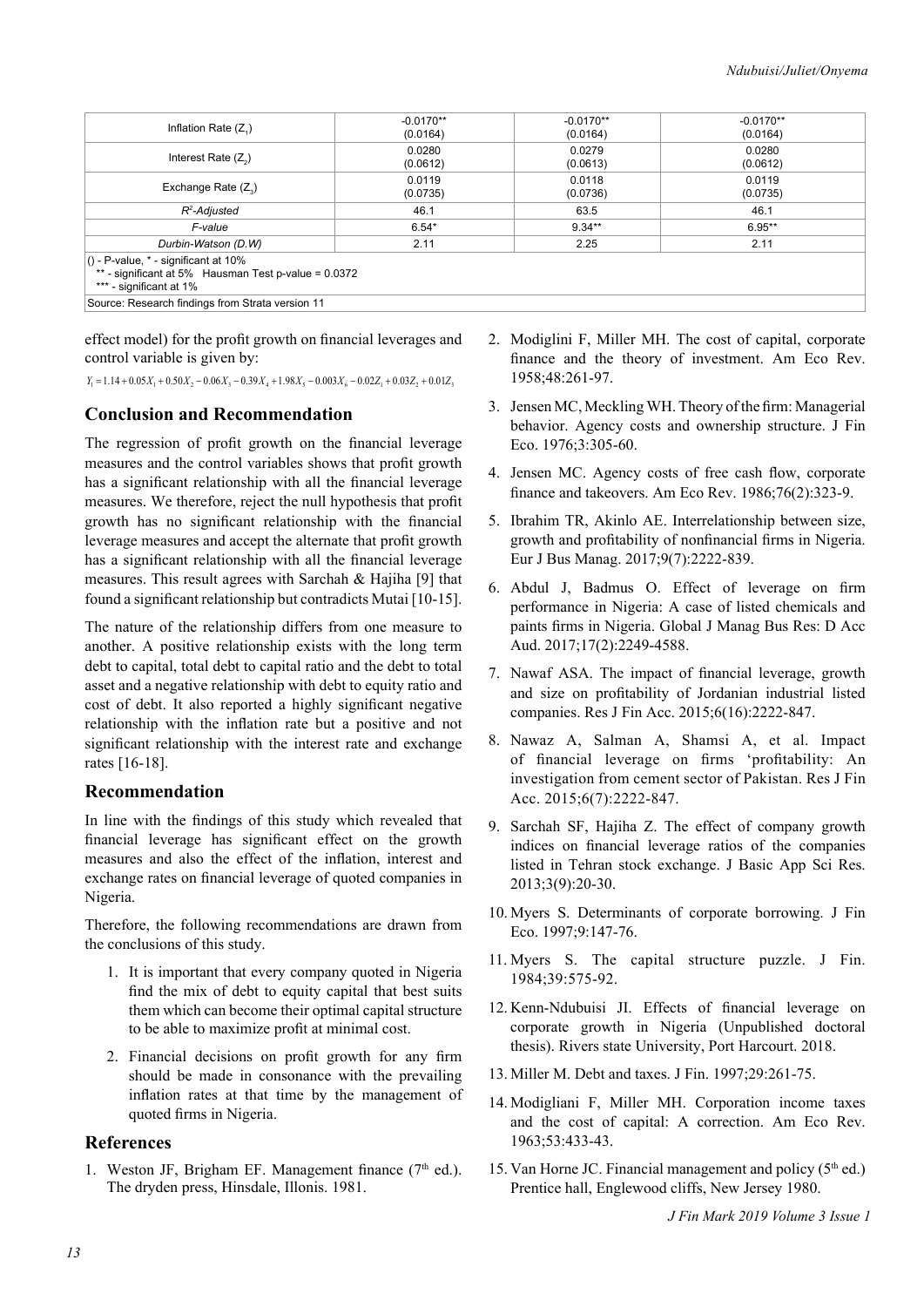| $-0.0170**$<br>$-0.0170**$<br>$-0.0170**$<br>Inflation Rate $(Z_1)$<br>(0.0164)<br>(0.0164)<br>(0.0164)<br>0.0280<br>0.0280<br>0.0279<br>Interest Rate $(Z_2)$<br>(0.0612)<br>(0.0612)<br>(0.0613)<br>0.0119<br>0.0119<br>0.0118<br>Exchange Rate $(Z_2)$<br>(0.0735)<br>(0.0736)<br>(0.0735)<br>46.1<br>63.5<br>46.1<br>R <sup>2</sup> -Adjusted<br>$9.34***$<br>$6.95***$<br>$6.54*$<br>F-value<br>2.11<br>2.25<br>2.11<br>Durbin-Watson (D.W)<br>** - significant at 5% Hausman Test p-value = 0.0372<br>*** - significant at 1% |                                                  |  |  |  |  |  |  |  |
|-------------------------------------------------------------------------------------------------------------------------------------------------------------------------------------------------------------------------------------------------------------------------------------------------------------------------------------------------------------------------------------------------------------------------------------------------------------------------------------------------------------------------------------|--------------------------------------------------|--|--|--|--|--|--|--|
|                                                                                                                                                                                                                                                                                                                                                                                                                                                                                                                                     |                                                  |  |  |  |  |  |  |  |
|                                                                                                                                                                                                                                                                                                                                                                                                                                                                                                                                     |                                                  |  |  |  |  |  |  |  |
|                                                                                                                                                                                                                                                                                                                                                                                                                                                                                                                                     |                                                  |  |  |  |  |  |  |  |
|                                                                                                                                                                                                                                                                                                                                                                                                                                                                                                                                     |                                                  |  |  |  |  |  |  |  |
|                                                                                                                                                                                                                                                                                                                                                                                                                                                                                                                                     |                                                  |  |  |  |  |  |  |  |
|                                                                                                                                                                                                                                                                                                                                                                                                                                                                                                                                     |                                                  |  |  |  |  |  |  |  |
|                                                                                                                                                                                                                                                                                                                                                                                                                                                                                                                                     | () - P-value, $*$ - significant at 10%           |  |  |  |  |  |  |  |
|                                                                                                                                                                                                                                                                                                                                                                                                                                                                                                                                     | Source: Research findings from Strata version 11 |  |  |  |  |  |  |  |

effect model) for the profit growth on financial leverages and control variable is given by:

 $X_1 = 1.14 + 0.05X_1 + 0.50X_2 - 0.06X_2 - 0.39X_1 + 1.98X_2 - 0.003X_2 - 0.02Z_1 + 0.03Z_2 + 0.01Z_2$ 

# **Conclusion and Recommendation**

The regression of profit growth on the financial leverage measures and the control variables shows that profit growth has a significant relationship with all the financial leverage measures. We therefore, reject the null hypothesis that profit growth has no significant relationship with the financial leverage measures and accept the alternate that profit growth has a significant relationship with all the financial leverage measures. This result agrees with Sarchah & Hajiha [9] that found a significant relationship but contradicts Mutai [10-15].

The nature of the relationship differs from one measure to another. A positive relationship exists with the long term debt to capital, total debt to capital ratio and the debt to total asset and a negative relationship with debt to equity ratio and cost of debt. It also reported a highly significant negative relationship with the inflation rate but a positive and not significant relationship with the interest rate and exchange rates [16-18].

# **Recommendation**

In line with the findings of this study which revealed that financial leverage has significant effect on the growth measures and also the effect of the inflation, interest and exchange rates on financial leverage of quoted companies in Nigeria.

Therefore, the following recommendations are drawn from the conclusions of this study.

- 1. It is important that every company quoted in Nigeria find the mix of debt to equity capital that best suits them which can become their optimal capital structure to be able to maximize profit at minimal cost.
- 2. Financial decisions on profit growth for any firm should be made in consonance with the prevailing inflation rates at that time by the management of quoted firms in Nigeria.

### **References**

1. Weston JF, Brigham EF. Management finance  $(7<sup>th</sup>$  ed.). The dryden press, Hinsdale, Illonis. 1981.

- 2. Modiglini F, Miller MH. The cost of capital, corporate finance and the theory of investment. Am Eco Rev. 1958;48:261-97.
- 3. Jensen MC, Meckling WH. Theory of the firm: Managerial behavior. Agency costs and ownership structure. J Fin Eco. 1976;3:305-60.
- 4. Jensen MC. Agency costs of free cash flow, corporate finance and takeovers. Am Eco Rev. 1986;76(2):323-9.
- 5. Ibrahim TR, Akinlo AE. Interrelationship between size, growth and profitability of nonfinancial firms in Nigeria. Eur J Bus Manag. 2017;9(7):2222-839.
- 6. Abdul J, Badmus O. Effect of leverage on firm performance in Nigeria: A case of listed chemicals and paints firms in Nigeria. Global J Manag Bus Res: D Acc Aud. 2017;17(2):2249-4588.
- 7. Nawaf ASA. The impact of financial leverage, growth and size on profitability of Jordanian industrial listed companies. Res J Fin Acc. 2015;6(16):2222-847.
- 8. Nawaz A, Salman A, Shamsi A, et al. Impact of financial leverage on firms 'profitability: An investigation from cement sector of Pakistan. Res J Fin Acc. 2015;6(7):2222-847.
- 9. Sarchah SF, Hajiha Z. The effect of company growth indices on financial leverage ratios of the companies listed in Tehran stock exchange. J Basic App Sci Res. 2013;3(9):20-30.
- 10. Myers S. Determinants of corporate borrowing. J Fin Eco. 1997;9:147-76.
- 11. Myers S. The capital structure puzzle. J Fin. 1984;39:575-92.
- 12. Kenn-Ndubuisi JI. Effects of financial leverage on corporate growth in Nigeria (Unpublished doctoral thesis). Rivers state University, Port Harcourt. 2018.
- 13. Miller M. Debt and taxes. J Fin. 1997;29:261-75.
- 14. Modigliani F, Miller MH. Corporation income taxes and the cost of capital: A correction. Am Eco Rev. 1963;53:433-43.
- 15. Van Horne JC. Financial management and policy  $(5<sup>th</sup>$  ed.) Prentice hall, Englewood cliffs, New Jersey 1980.